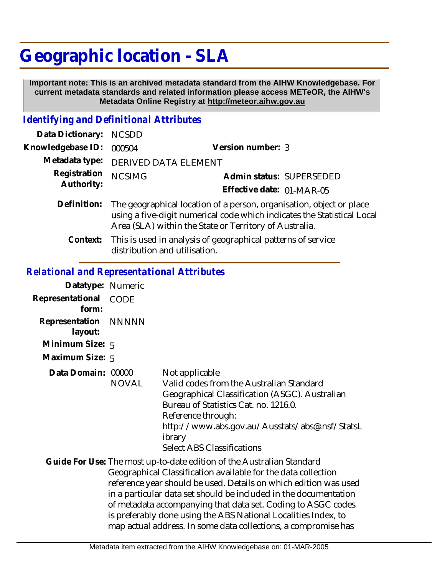## **Geographic location - SLA**

 **Important note: This is an archived metadata standard from the AIHW Knowledgebase. For current metadata standards and related information please access METeOR, the AIHW's Metadata Online Registry at http://meteor.aihw.gov.au**

## *Identifying and Definitional Attributes*

| Data Dictionary: NCSDD     |                                                                                                                                                                                                           |                                                       |
|----------------------------|-----------------------------------------------------------------------------------------------------------------------------------------------------------------------------------------------------------|-------------------------------------------------------|
| Knowledgebase ID:          | 000504                                                                                                                                                                                                    | Version number: 3                                     |
|                            | Metadata type: DERIVED DATA ELEMENT                                                                                                                                                                       |                                                       |
| Registration<br>Authority: | <b>NCSIMG</b>                                                                                                                                                                                             | Admin status: SUPERSEDED<br>Effective date: 01-MAR-05 |
| Definition:                | The geographical location of a person, organisation, object or place<br>using a five-digit numerical code which indicates the Statistical Local<br>Area (SLA) within the State or Territory of Australia. |                                                       |

This is used in analysis of geographical patterns of service distribution and utilisation. **Context:**

## *Relational and Representational Attributes*

| Datatype: Numeric               |              |                                                                                                                                                                                                                                                                                                                                                                                                                                                                                    |
|---------------------------------|--------------|------------------------------------------------------------------------------------------------------------------------------------------------------------------------------------------------------------------------------------------------------------------------------------------------------------------------------------------------------------------------------------------------------------------------------------------------------------------------------------|
| Representational<br>form:       | CODE         |                                                                                                                                                                                                                                                                                                                                                                                                                                                                                    |
| Representation NNNNN<br>layout: |              |                                                                                                                                                                                                                                                                                                                                                                                                                                                                                    |
| Minimum Size: 5                 |              |                                                                                                                                                                                                                                                                                                                                                                                                                                                                                    |
| Maximum Size: 5                 |              |                                                                                                                                                                                                                                                                                                                                                                                                                                                                                    |
| Data Domain: 00000              | <b>NOVAL</b> | Not applicable<br>Valid codes from the Australian Standard<br>Geographical Classification (ASGC). Australian<br>Bureau of Statistics Cat. no. 1216.0.<br>Reference through:<br>http://www.abs.gov.au/Ausstats/abs@.nsf/StatsL<br>ibrary<br><b>Select ABS Classifications</b>                                                                                                                                                                                                       |
|                                 |              | Guide For Use: The most up-to-date edition of the Australian Standard<br>Geographical Classification available for the data collection<br>reference year should be used. Details on which edition was used<br>in a particular data set should be included in the documentation<br>of metadata accompanying that data set. Coding to ASGC codes<br>is preferably done using the ABS National Localities Index, to<br>map actual address. In some data collections, a compromise has |